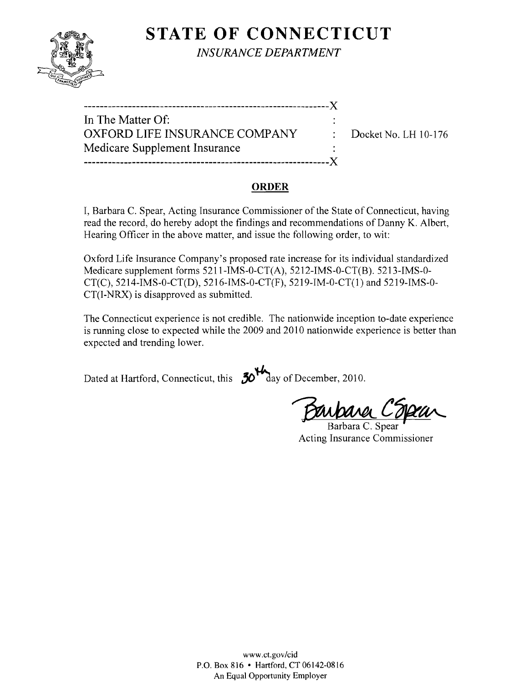

**STATE OF CONNECTICUT** *INSURANCE DEPARTMENT* 

| In The Matter Of:             |                   |
|-------------------------------|-------------------|
| OXFORD LIFE INSURANCE COMPANY | $\therefore$ Dock |
| Medicare Supplement Insurance |                   |
|                               |                   |
|                               |                   |

 $x$ et No. LH 10-176

#### **ORDER**

I, Barbara C. Spear, Acting Insurance Commissioner of the State of Connecticut, having read the record, do hereby adopt the findings and recommendations of Danny K. Albert, Hearing Officer in the above matter, and issue the following order, to wit:

Oxford Life Insurance Company's proposed rate increase for its individual standardized Medicare supplement forms 5211-IMS-0-CT(A), 5212-IMS-0-CT(B). 5213-IMS-0 CT(C), 5214-IMS-0-CT(D), 5216-IMS-0-CT(F), 5219-IM-0-CT(l) and 5219-IMS-0 CT(I-NRX) is disapproved as submitted.

The Connecticut experience is not credible. The nationwide inception to-date experience is running close to expected while the 2009 and 2010 nationwide experience is better than expected and trending lower.

Dated at Hartford, Connecticut, this  $50^{14}$  day of December, 2010.

Darbara C'Osaa

Barbara C. Spear Acting Insurance Commissioner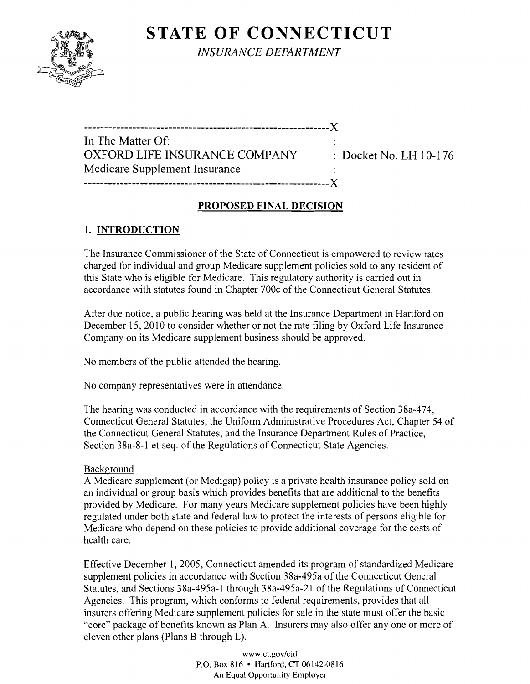# **STATE OF CONNECTICUT**



*INSURANCE DEPARTMENT* 

| In The Matter Of:             |                                   |  |
|-------------------------------|-----------------------------------|--|
| OXFORD LIFE INSURANCE COMPANY | $\therefore$ Docket No. LH 10-176 |  |
| Medicare Supplement Insurance |                                   |  |
|                               |                                   |  |

## **PROPOSED FINAL DECISION**

## **1. INTRODUCTION**

The Insurance Commissioner of the State of Connecticut is empowered to review rates charged for individual and group Medicare supplement policies sold to any resident of this State who is eligible for Medicare. This regulatory authority is carried out in accordance with statutes found in Chapter 700c of the Connecticut General Statutes.

After due notice, a public hearing was held at the Insurance Department in Hartford on December 15, 2010 to consider whether or not the rate filing by Oxford Life Insurance Company on its Medicare supplement business should be approved.

No members of the public attended the hearing.

No company representatives were in attendance.

The hearing was conducted in accordance with the requirements of Section 38a-474, Connecticut General Statutes, the Uniform Administrative Procedures Act, Chapter 54 of the Connecticut General Statutes, and the Insurance Department Rules of Practice, Section 38a-8-1 et seq. of the Regulations of Connecticut State Agencies.

## Background

A Medicare supplement (or Medigap) policy is a private health insurance policy sold on an individual or group basis which provides benefits that are additional to the benefits provided by Medicare. For many years Medicare supplement policies have been highly regulated under both state and federal law to protect the interests of persons eligible for Medicare who depend on these policies to provide additional coverage for the costs of health care.

Effective December 1, 2005, Connecticut amended its program of standardized Medicare supplement policies in accordance with Section 38a-495a of the Connecticut General Statutes, and Sections 38a-495a-1 through 38a-495a-21 of the Regulations of Connecticut Agencies. This program, which conforms to federal requirements, provides that all insurers offering Medicare supplement policies for sale in the state must offer the basic "core" package of benefits known as Plan A. Insurers may also offer anyone or more of eleven other plans (Plans B through L).

> www.ct.gov/cid P.O. Box 816 • Hartford, CT 06142-0816 An Equal Opportunity Employer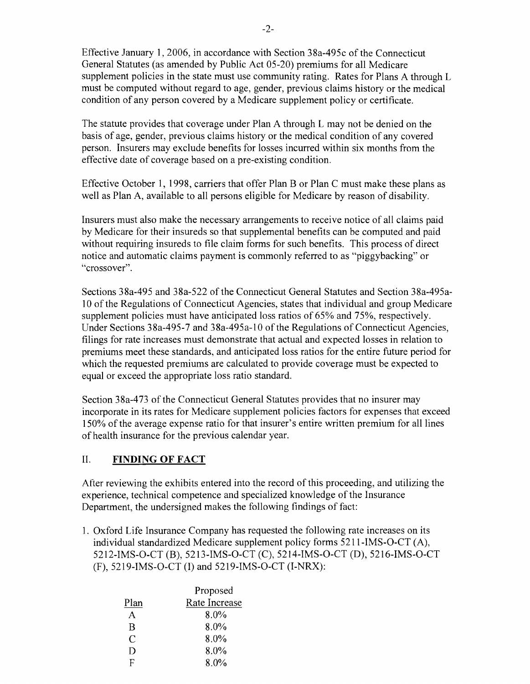Effective January 1,2006, in accordance with Section 38a-495c of the Connecticut General Statutes (as amended by Public Act 05-20) premiums for all Medicare supplement policies in the state must use community rating. Rates for Plans A through L must be computed without regard to age, gender, previous claims history or the medical condition of any person covered by a Medicare supplement policy or certificate.

The statute provides that coverage under Plan A through L may not be denied on the basis of age, gender, previous claims history or the medical condition of any covered person. Insurers may exclude benefits for losses incurred within six months from the effective date of coverage based on a pre-existing condition.

Effective October 1, 1998, carriers that offer Plan B or Plan C must make these plans as well as Plan A, available to all persons eligible for Medicare by reason of disability.

Insurers must also make the necessary arrangements to receive notice of all claims paid by Medicare for their insureds so that supplemental benefits can be computed and paid without requiring insureds to file claim forms for such benefits. This process of direct notice and automatic claims payment is commonly referred to as "piggybacking" or "crossover".

Sections 38a-495 and 38a-522 of the Connecticut General Statutes and Section 38a-495a-10 of the Regulations of Connecticut Agencies, states that individual and group Medicare supplement policies must have anticipated loss ratios of 65% and 75%, respectively. Under Sections 38a-495-7 and 38a-495a-l 0 of the Regulations of Connecticut Agencies, filings for rate increases must demonstrate that actual and expected losses in relation to premiums meet these standards, and anticipated loss ratios for the entire future period for which the requested premiums are calculated to provide coverage must be expected to equal or exceed the appropriate loss ratio standard.

Section 38a-473 of the Connecticut General Statutes provides that no insurer may incorporate in its rates for Medicare supplement policies factors for expenses that exceed 150% of the average expense ratio for that insurer's entire written premium for all lines of health insurance for the previous calendar year.

#### II. **FINDING OF FACT**

After reviewing the exhibits entered into the record of this proceeding, and utilizing the experience, technical competence and specialized knowledge of the Insurance Department, the undersigned makes the following findings of fact:

1. Oxford Life Insurance Company has requested the following rate increases on its individual standardized Medicare supplement policy forms 5211-IMS-O-CT (A), 5212-IMS-O-CT (B), 5213-IMS-O-CT (C), 5214-IMS-O-CT (D), 5216-IMS-O-CT (F), 5219-IMS-O-CT (1) and 5219-IMS-O-CT (I-NRX):

|      | Proposed      |
|------|---------------|
| Plan | Rate Increase |
|      | $8.0\%$       |
| R    | $8.0\%$       |
| C    | 8.0%          |
| D    | 8.0%          |
| F    | 8.0%          |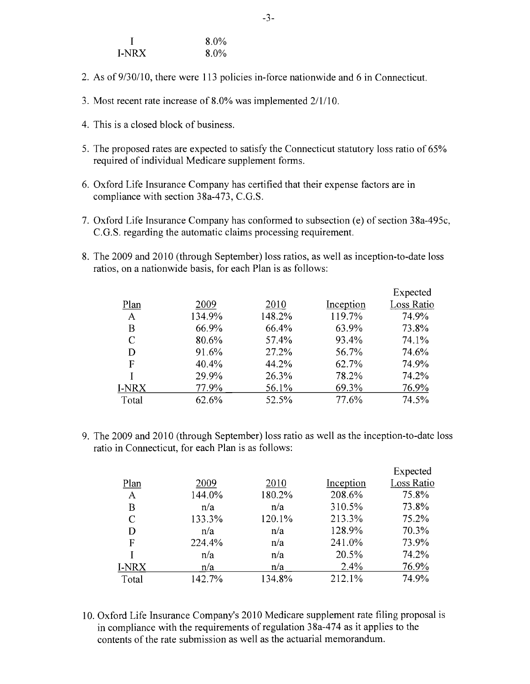|       | $8.0\%$ |
|-------|---------|
| I-NRX | $8.0\%$ |

- 2. As of  $9/30/10$ , there were 113 policies in-force nationwide and 6 in Connecticut.
- 3. Most recent rate increase of 8.0% was implemented  $2/1/10$ .
- 4. This is a closed block of business.
- 5. The proposed rates are expected to satisfy the Connecticut statutory loss ratio of 65% required of individual Medicare supplement forms.
- 6. Oxford Life Insurance Company has certified that their expense factors are in compliance with section 38a-473, C.G.S.
- 7. Oxford Life Insurance Company has conformed to subsection (e) of section 38a-495c, C.G.S. regarding the automatic claims processing requirement.
- 8. The 2009 and 2010 (through September) loss ratios, as well as inception-to-date loss ratios, on a nationwide basis, for each Plan is as follows:

|       |        |        |           | Expected   |
|-------|--------|--------|-----------|------------|
| Plan  | 2009   | 2010   | Inception | Loss Ratio |
| A     | 134.9% | 148.2% | 119.7%    | 74.9%      |
| Β     | 66.9%  | 66.4%  | 63.9%     | 73.8%      |
| C     | 80.6%  | 57.4%  | 93.4%     | 74.1%      |
| D     | 91.6%  | 27.2%  | 56.7%     | 74.6%      |
| F     | 40.4%  | 44.2%  | 62.7%     | 74.9%      |
|       | 29.9%  | 26.3%  | 78.2%     | 74.2%      |
| I-NRX | 77.9%  | 56.1%  | 69.3%     | 76.9%      |
| Total | 62.6%  | 52.5%  | 77.6%     | 74.5%      |

9. The 2009 and 2010 (through September) loss ratio as well as the inception-to-date loss ratio in Connecticut, for each Plan is as follows:

|              |        |        |           | Expected   |
|--------------|--------|--------|-----------|------------|
| Plan         | 2009   | 2010   | Inception | Loss Ratio |
| A            | 144.0% | 180.2% | 208.6%    | 75.8%      |
| Β            | n/a    | n/a    | 310.5%    | 73.8%      |
| C            | 133.3% | 120.1% | 213.3%    | 75.2%      |
| D            | n/a    | n/a    | 128.9%    | 70.3%      |
| F            | 224.4% | n/a    | 241.0%    | 73.9%      |
|              | n/a    | n/a    | 20.5%     | 74.2%      |
| <b>I-NRX</b> | n/a    | n/a    | 2.4%      | 76.9%      |
| Total        | 142.7% | 134.8% | 212.1%    | 74.9%      |
|              |        |        |           |            |

10. Oxford Life Insurance Company's 2010 Medicare supplement rate filing proposal is in compliance with the requirements of regulation 38a-474 as it applies to the contents of the rate submission as well as the actuarial memorandum.